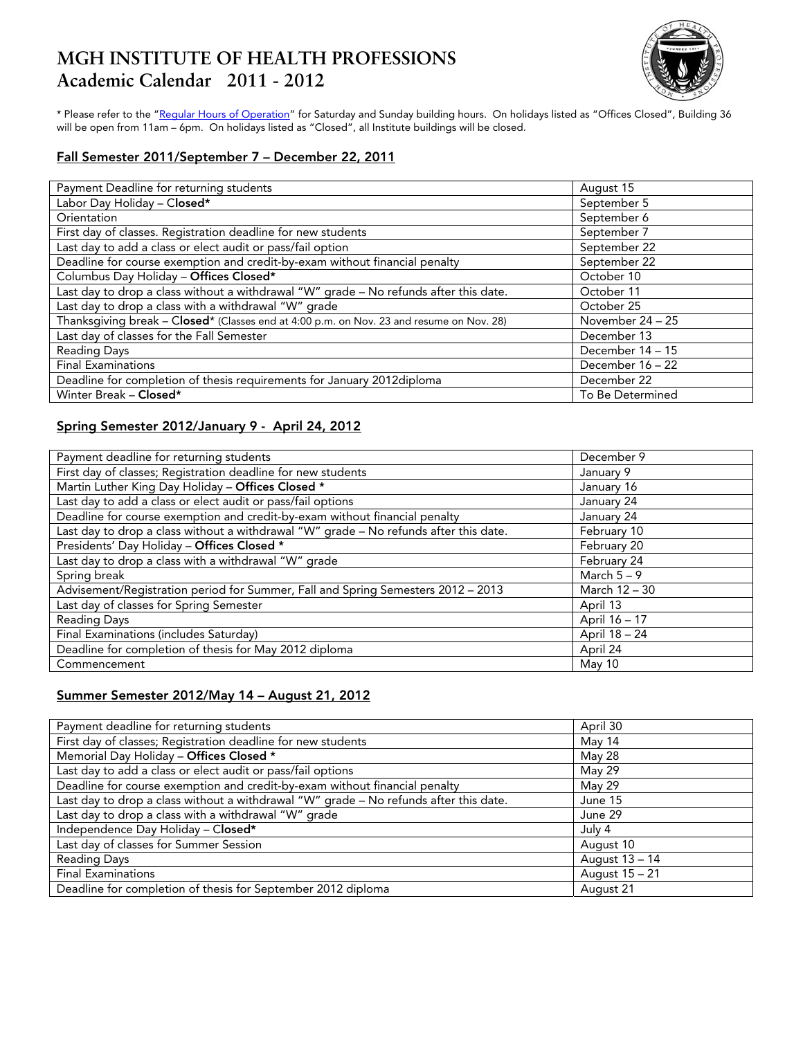# **MGH INSTITUTE OF HEALTH PROFESSIONS Academic Calendar 2011 - 2012**



\* Please refer to the "<u>Regular Hours of Operation</u>" for Saturday and Sunday building hours. On holidays listed as "Offices Closed", Building 36 will be open from 11am – 6pm. On holidays listed as "Closed", all Institute buildings will be closed.

#### Fall Semester 2011/September 7 – December 22, 2011

| Payment Deadline for returning students                                                  | August 15        |
|------------------------------------------------------------------------------------------|------------------|
| Labor Day Holiday - Closed*                                                              | September 5      |
| Orientation                                                                              | September 6      |
| First day of classes. Registration deadline for new students                             | September 7      |
| Last day to add a class or elect audit or pass/fail option                               | September 22     |
| Deadline for course exemption and credit-by-exam without financial penalty               | September 22     |
| Columbus Day Holiday - Offices Closed*                                                   | October 10       |
| Last day to drop a class without a withdrawal "W" grade - No refunds after this date.    | October 11       |
| Last day to drop a class with a withdrawal "W" grade                                     | October 25       |
| Thanksgiving break - Closed* (Classes end at 4:00 p.m. on Nov. 23 and resume on Nov. 28) | November 24 - 25 |
| Last day of classes for the Fall Semester                                                | December 13      |
| <b>Reading Days</b>                                                                      | December 14 - 15 |
| <b>Final Examinations</b>                                                                | December 16 - 22 |
| Deadline for completion of thesis requirements for January 2012diploma                   | December 22      |
| Winter Break - Closed*                                                                   | To Be Determined |

#### Spring Semester 2012/January 9 - April 24, 2012

| Payment deadline for returning students                                               | December 9    |
|---------------------------------------------------------------------------------------|---------------|
| First day of classes; Registration deadline for new students                          | January 9     |
| Martin Luther King Day Holiday - Offices Closed *                                     | January 16    |
| Last day to add a class or elect audit or pass/fail options                           | January 24    |
| Deadline for course exemption and credit-by-exam without financial penalty            | January 24    |
| Last day to drop a class without a withdrawal "W" grade - No refunds after this date. | February 10   |
| Presidents' Day Holiday - Offices Closed *                                            | February 20   |
| Last day to drop a class with a withdrawal "W" grade                                  | February 24   |
| Spring break                                                                          | March $5-9$   |
| Advisement/Registration period for Summer, Fall and Spring Semesters 2012 - 2013      | March 12 - 30 |
| Last day of classes for Spring Semester                                               | April 13      |
| Reading Days                                                                          | April 16 - 17 |
| Final Examinations (includes Saturday)                                                | April 18 - 24 |
| Deadline for completion of thesis for May 2012 diploma                                | April 24      |
| Commencement                                                                          | May 10        |

## Summer Semester 2012/May 14 – August 21, 2012

| Payment deadline for returning students                                               | April 30       |
|---------------------------------------------------------------------------------------|----------------|
| First day of classes; Registration deadline for new students                          | May 14         |
| Memorial Day Holiday - Offices Closed *                                               | May 28         |
| Last day to add a class or elect audit or pass/fail options                           | May 29         |
| Deadline for course exemption and credit-by-exam without financial penalty            | May 29         |
| Last day to drop a class without a withdrawal "W" grade - No refunds after this date. | June 15        |
| Last day to drop a class with a withdrawal "W" grade                                  | June 29        |
| Independence Day Holiday - Closed*                                                    | July 4         |
| Last day of classes for Summer Session                                                | August 10      |
| <b>Reading Days</b>                                                                   | August 13 - 14 |
| <b>Final Examinations</b>                                                             | August 15 - 21 |
| Deadline for completion of thesis for September 2012 diploma                          | August 21      |